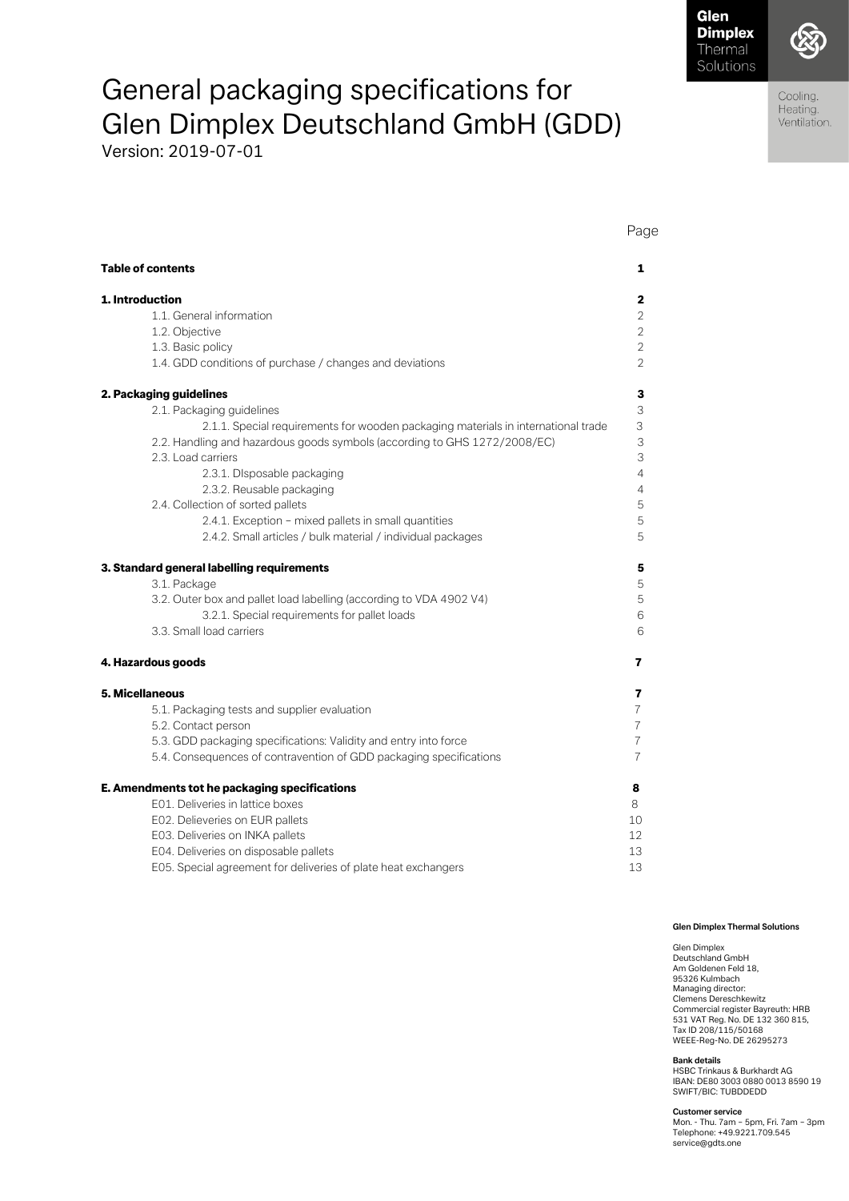Glen

Page

Cooling. Heating. Ventilation.

# General packaging specifications for Glen Dimplex Deutschland GmbH (GDD)

Version: 2019-07-01

| <b>Table of contents</b>                                                          | 1              |
|-----------------------------------------------------------------------------------|----------------|
|                                                                                   |                |
| 1. Introduction                                                                   | $\mathbf{2}$   |
| 1.1. General information                                                          | $\overline{2}$ |
| 1.2. Objective                                                                    | $\overline{2}$ |
| 1.3. Basic policy                                                                 | $\overline{2}$ |
| 1.4. GDD conditions of purchase / changes and deviations                          | $\overline{2}$ |
| 2. Packaging guidelines                                                           | 3              |
| 2.1. Packaging guidelines                                                         | 3              |
| 2.1.1. Special requirements for wooden packaging materials in international trade | 3              |
| 2.2. Handling and hazardous goods symbols (according to GHS 1272/2008/EC)         | 3              |
| 2.3. Load carriers                                                                | $\mathsf 3$    |
| 2.3.1. Disposable packaging                                                       | $\overline{4}$ |
| 2.3.2. Reusable packaging                                                         | $\overline{4}$ |
| 2.4. Collection of sorted pallets                                                 | 5              |
| 2.4.1. Exception - mixed pallets in small quantities                              | 5              |
| 2.4.2. Small articles / bulk material / individual packages                       | 5              |
| 3. Standard general labelling requirements                                        | 5              |
| 3.1. Package                                                                      | 5              |
| 3.2. Outer box and pallet load labelling (according to VDA 4902 V4)               | 5              |
| 3.2.1. Special requirements for pallet loads                                      | 6              |
| 3.3. Small load carriers                                                          | 6              |
| 4. Hazardous goods                                                                | 7              |
| 5. Micellaneous                                                                   | 7              |
| 5.1. Packaging tests and supplier evaluation                                      | $\overline{7}$ |
| 5.2. Contact person                                                               | $\overline{7}$ |
| 5.3. GDD packaging specifications: Validity and entry into force                  | $\overline{7}$ |
| 5.4. Consequences of contravention of GDD packaging specifications                | $\overline{7}$ |
| E. Amendments tot he packaging specifications                                     | 8              |
| E01. Deliveries in lattice boxes                                                  | 8              |
| E02. Delieveries on EUR pallets                                                   | 10             |
| E03. Deliveries on INKA pallets                                                   | 12             |
| E04. Deliveries on disposable pallets                                             | 13             |
| E05. Special agreement for deliveries of plate heat exchangers                    | 13             |

#### **Glen Dimplex Thermal Solutions**

Glen Dimplex Deutschland GmbH Am Goldenen Feld 18, 95326 Kulmbach Managing director: Clemens Dereschkewitz Commercial register Bayreuth: HRB 531 VAT Reg. No. DE 132 360 815, Tax ID 208/115/50168 WEEE-Reg-No. DE 26295273

**Bank details** HSBC Trinkaus & Burkhardt AG IBAN: DE80 3003 0880 0013 8590 19 SWIFT/BIC: TUBDDEDD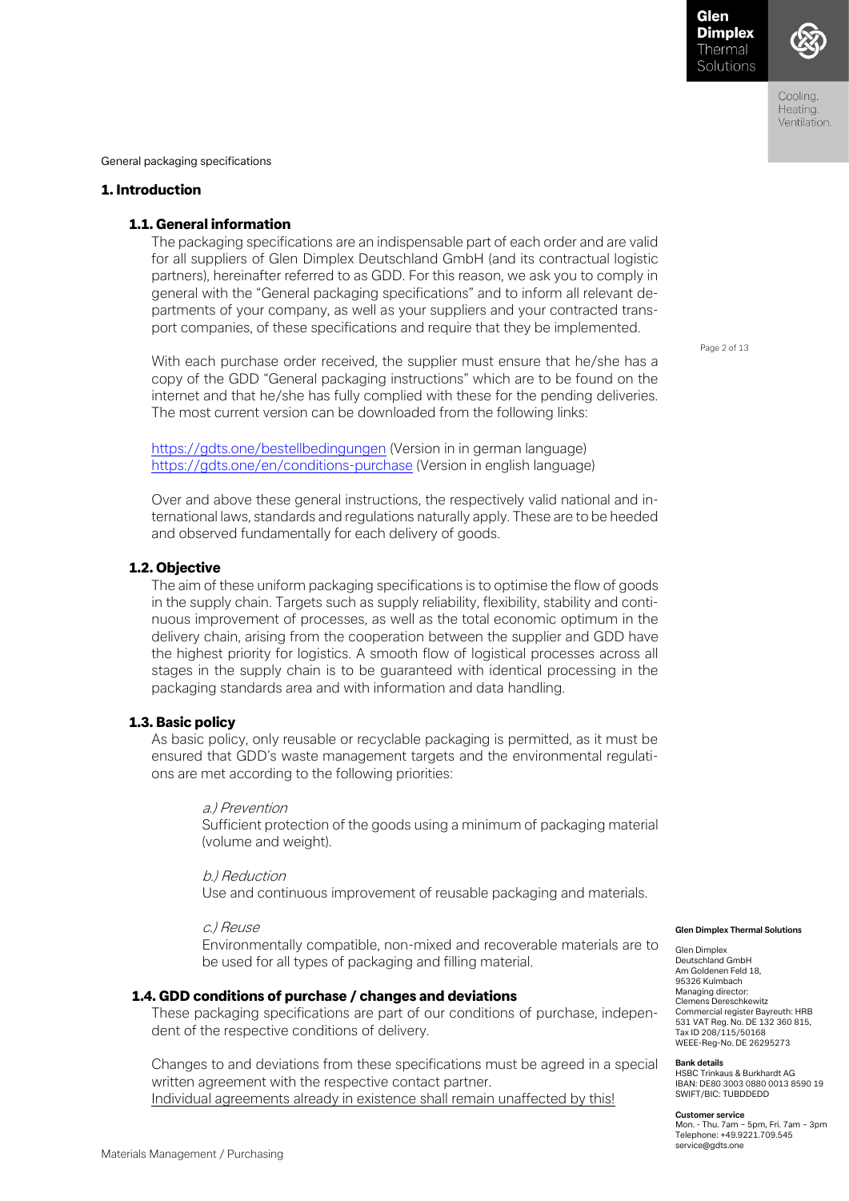Coolina Heating. Ventilation.

General packaging specifications

# 1. Introduction

# 1.1. General information

The packaging specifications are an indispensable part of each order and are valid for all suppliers of Glen Dimplex Deutschland GmbH (and its contractual logistic partners), hereinafter referred to as GDD. For this reason, we ask you to comply in general with the "General packaging specifications" and to inform all relevant departments of your company, as well as your suppliers and your contracted transport companies, of these specifications and require that they be implemented.

With each purchase order received, the supplier must ensure that he/she has a copy of the GDD "General packaging instructions" which are to be found on the internet and that he/she has fully complied with these for the pending deliveries. The most current version can be downloaded from the following links:

<https://gdts.one/bestellbedingungen> (Version in in german language) <https://gdts.one/en/conditions-purchase> (Version in english language)

Over and above these general instructions, the respectively valid national and international laws, standards and regulations naturally apply. These are to be heeded and observed fundamentally for each delivery of goods.

#### 1.2. Objective

The aim of these uniform packaging specifications is to optimise the flow of goods in the supply chain. Targets such as supply reliability, flexibility, stability and continuous improvement of processes, as well as the total economic optimum in the delivery chain, arising from the cooperation between the supplier and GDD have the highest priority for logistics. A smooth flow of logistical processes across all stages in the supply chain is to be guaranteed with identical processing in the packaging standards area and with information and data handling.

#### 1.3. Basic policy

As basic policy, only reusable or recyclable packaging is permitted, as it must be ensured that GDD's waste management targets and the environmental regulations are met according to the following priorities:

#### a.) Prevention

Sufficient protection of the goods using a minimum of packaging material (volume and weight).

#### b.) Reduction

Use and continuous improvement of reusable packaging and materials.

#### c.) Reuse

Environmentally compatible, non-mixed and recoverable materials are to be used for all types of packaging and filling material.

#### 1.4. GDD conditions of purchase / changes and deviations

These packaging specifications are part of our conditions of purchase, independent of the respective conditions of delivery.

Changes to and deviations from these specifications must be agreed in a special written agreement with the respective contact partner. Individual agreements already in existence shall remain unaffected by this!

**Glen Dimplex Thermal Solutions** 

Glen Dimplex Deutschland GmbH Am Goldenen Feld 18, 95326 Kulmbach Managing director: Clemens Dereschkewitz Commercial register Bayreuth: HRB 531 VAT Reg. No. DE 132 360 815, Tax ID 208/115/50168 WEEE-Reg-No. DE 26295273

#### **Bank details**

HSBC Trinkaus & Burkhardt AG IBAN: DE80 3003 0880 0013 8590 19 SWIFT/BIC: TUBDDEDD

**Customer service** 

Mon. - Thu. 7am – 5pm, Fri. 7am – 3pm Telephone: +49.9221.709.545 service@gdts.one

Page 2 of 13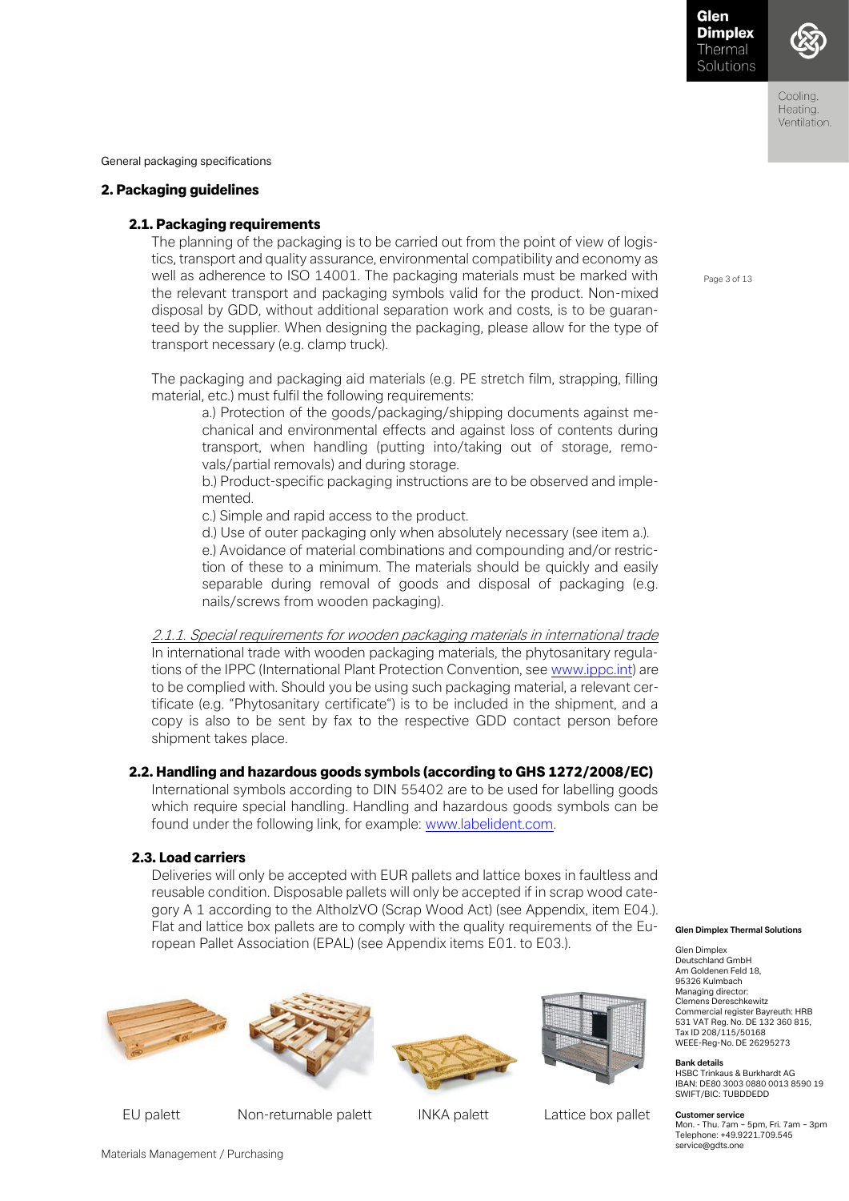Coolina Heating. Ventilation.

General packaging specifications

# 2. Packaging guidelines

# 2.1. Packaging requirements

The planning of the packaging is to be carried out from the point of view of logistics, transport and quality assurance, environmental compatibility and economy as well as adherence to ISO 14001. The packaging materials must be marked with the relevant transport and packaging symbols valid for the product. Non-mixed disposal by GDD, without additional separation work and costs, is to be guaranteed by the supplier. When designing the packaging, please allow for the type of transport necessary (e.g. clamp truck).

The packaging and packaging aid materials (e.g. PE stretch film, strapping, filling material, etc.) must fulfil the following requirements:

a.) Protection of the goods/packaging/shipping documents against mechanical and environmental effects and against loss of contents during transport, when handling (putting into/taking out of storage, removals/partial removals) and during storage.

b.) Product-specific packaging instructions are to be observed and implemented.

c.) Simple and rapid access to the product.

d.) Use of outer packaging only when absolutely necessary (see item a.).

e.) Avoidance of material combinations and compounding and/or restriction of these to a minimum. The materials should be quickly and easily separable during removal of goods and disposal of packaging (e.g. nails/screws from wooden packaging).

2.1.1. Special requirements for wooden packaging materials in international trade In international trade with wooden packaging materials, the phytosanitary regulations of the IPPC (International Plant Protection Convention, se[e www.ippc.int\)](http://www.ippc.int/) are to be complied with. Should you be using such packaging material, a relevant certificate (e.g. "Phytosanitary certificate") is to be included in the shipment, and a copy is also to be sent by fax to the respective GDD contact person before shipment takes place.

# 2.2. Handling and hazardous goods symbols (according to GHS 1272/2008/EC)

International symbols according to DIN 55402 are to be used for labelling goods which require special handling. Handling and hazardous goods symbols can be found under the following link, for example: [www.labelident.com.](http://www.labelident.com/)

# 2.3. Load carriers

Deliveries will only be accepted with EUR pallets and lattice boxes in faultless and reusable condition. Disposable pallets will only be accepted if in scrap wood category A 1 according to the AltholzVO (Scrap Wood Act) (see Appendix, item E04.). Flat and lattice box pallets are to comply with the quality requirements of the European Pallet Association (EPAL) (see Appendix items E01. to E03.).







EU palett Non-returnable palett INKA palett Lattice box pallet

#### **Glen Dimplex Thermal Solutions**

Glen Dimplex Deutschland GmbH Am Goldenen Feld 18, 95326 Kulmbach Managing director: Clemens Dereschkewitz Commercial register Bayreuth: HRB 531 VAT Reg. No. DE 132 360 815, Tax ID 208/115/50168 WEEE-Reg-No. DE 26295273

#### **Bank details**

HSBC Trinkaus & Burkhardt AG IBAN: DE80 3003 0880 0013 8590 19 SWIFT/BIC: TUBDDEDD

#### **Customer service**

Mon. - Thu. 7am – 5pm, Fri. 7am – 3pm Telephone: +49.9221.709.545 service@gdts.one

Page 3 of 13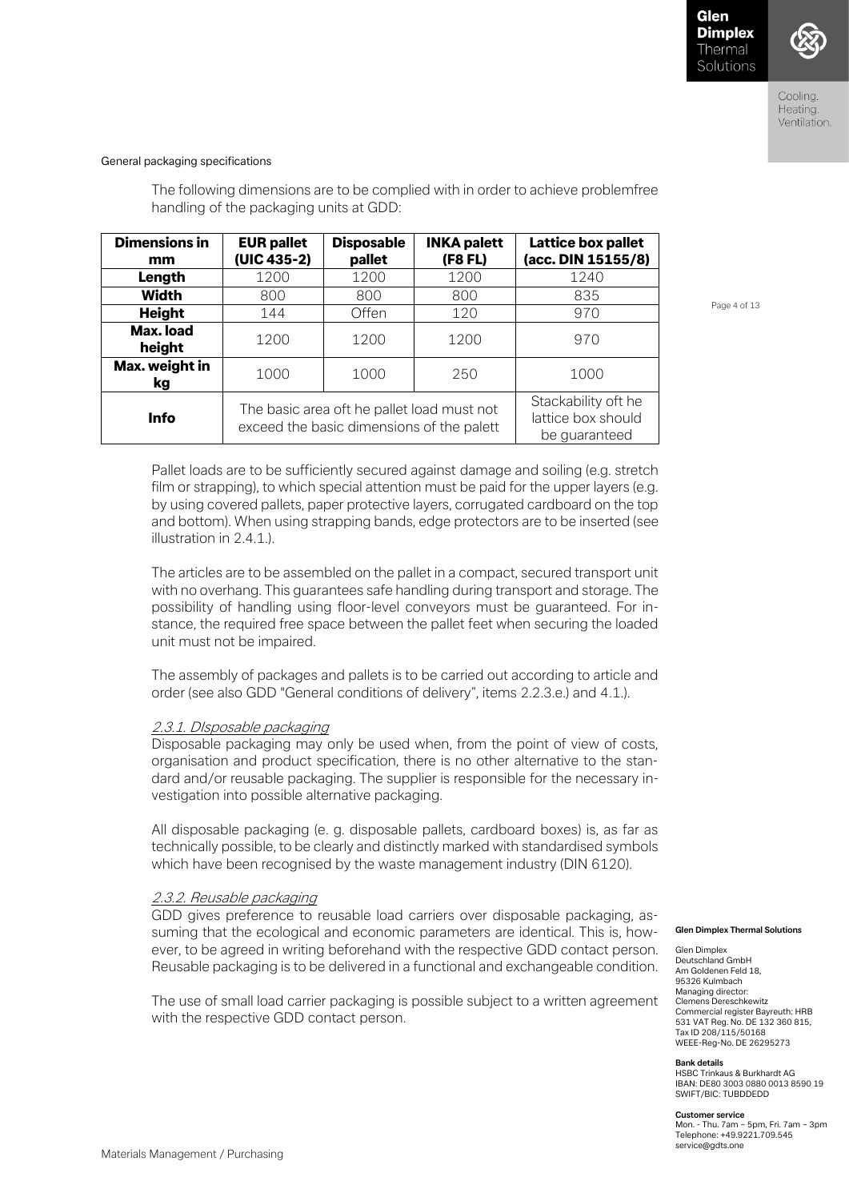

### General packaging specifications

The following dimensions are to be complied with in order to achieve problemfree handling of the packaging units at GDD:

| <b>Dimensions in</b><br>mm                                                                             | <b>EUR pallet</b><br>(UIC 435-2) | <b>Disposable</b><br>pallet | <b>INKA palett</b><br>(F8 FL) | <b>Lattice box pallet</b><br>(acc. DIN 15155/8)            |
|--------------------------------------------------------------------------------------------------------|----------------------------------|-----------------------------|-------------------------------|------------------------------------------------------------|
| Length                                                                                                 | 1200                             | 1200                        | 1200                          | 1240                                                       |
| <b>Width</b>                                                                                           | 800                              | 800                         | 800                           | 835                                                        |
| <b>Height</b>                                                                                          | 144                              | Offen                       | 120                           | 970                                                        |
| Max. load<br>height                                                                                    | 1200                             | 1200                        | 1200                          | 970                                                        |
| Max. weight in<br>1000<br>kg                                                                           |                                  | 1000                        | 250                           | 1000                                                       |
| The basic area oft he pallet load must not<br><b>Info</b><br>exceed the basic dimensions of the palett |                                  |                             |                               | Stackability oft he<br>lattice box should<br>be guaranteed |

Page 4 of 13

Pallet loads are to be sufficiently secured against damage and soiling (e.g. stretch film or strapping), to which special attention must be paid for the upper layers (e.g. by using covered pallets, paper protective layers, corrugated cardboard on the top and bottom). When using strapping bands, edge protectors are to be inserted (see illustration in  $2,4.1$ .

The articles are to be assembled on the pallet in a compact, secured transport unit with no overhang. This guarantees safe handling during transport and storage. The possibility of handling using floor-level conveyors must be guaranteed. For instance, the required free space between the pallet feet when securing the loaded unit must not be impaired.

The assembly of packages and pallets is to be carried out according to article and order (see also GDD "General conditions of delivery", items 2.2.3.e.) and 4.1.).

#### 2.3.1. DIsposable packaging

Disposable packaging may only be used when, from the point of view of costs, organisation and product specification, there is no other alternative to the standard and/or reusable packaging. The supplier is responsible for the necessary investigation into possible alternative packaging.

All disposable packaging (e. g. disposable pallets, cardboard boxes) is, as far as technically possible, to be clearly and distinctly marked with standardised symbols which have been recognised by the waste management industry (DIN 6120).

#### 2.3.2. Reusable packaging

GDD gives preference to reusable load carriers over disposable packaging, assuming that the ecological and economic parameters are identical. This is, however, to be agreed in writing beforehand with the respective GDD contact person. Reusable packaging is to be delivered in a functional and exchangeable condition.

The use of small load carrier packaging is possible subject to a written agreement with the respective GDD contact person.

#### **Glen Dimplex Thermal Solutions**

Glen Dimplex Deutschland GmbH Am Goldenen Feld 18, 95326 Kulmbach Managing director: Clemens Dereschkewitz Commercial register Bayreuth: HRB 531 VAT Reg. No. DE 132 360 815, Tax ID 208/115/50168 WEEE-Reg-No. DE 26295273

#### **Bank details**

HSBC Trinkaus & Burkhardt AG IBAN: DE80 3003 0880 0013 8590 19 SWIFT/BIC: TUBDDEDD

#### **Customer service**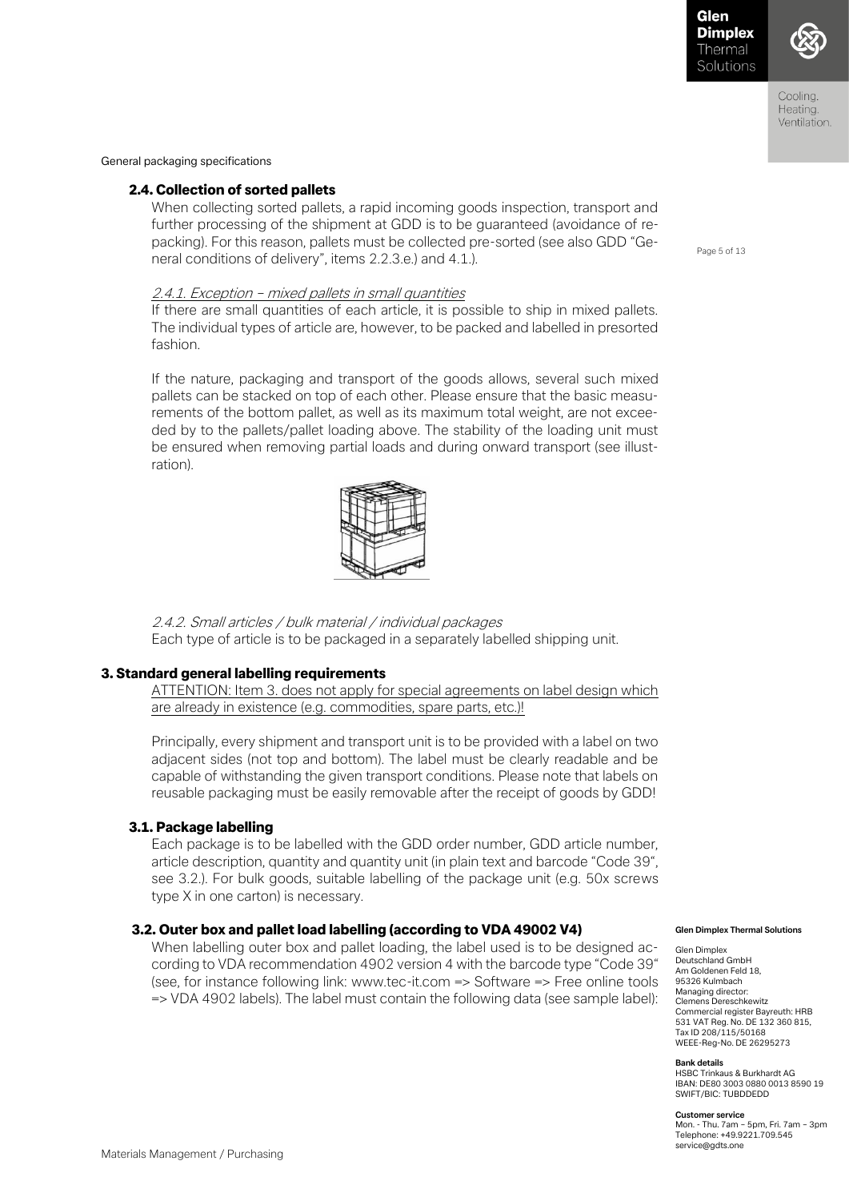

General packaging specifications

# 2.4. Collection of sorted pallets

When collecting sorted pallets, a rapid incoming goods inspection, transport and further processing of the shipment at GDD is to be guaranteed (avoidance of repacking). For this reason, pallets must be collected pre-sorted (see also GDD "General conditions of delivery", items 2.2.3.e.) and 4.1.).

# 2.4.1. Exception – mixed pallets in small quantities

If there are small quantities of each article, it is possible to ship in mixed pallets. The individual types of article are, however, to be packed and labelled in presorted fashion.

If the nature, packaging and transport of the goods allows, several such mixed pallets can be stacked on top of each other. Please ensure that the basic measurements of the bottom pallet, as well as its maximum total weight, are not exceeded by to the pallets/pallet loading above. The stability of the loading unit must be ensured when removing partial loads and during onward transport (see illustration).



2.4.2. Small articles / bulk material / individual packages Each type of article is to be packaged in a separately labelled shipping unit.

### 3. Standard general labelling requirements

ATTENTION: Item 3. does not apply for special agreements on label design which are already in existence (e.g. commodities, spare parts, etc.)!

Principally, every shipment and transport unit is to be provided with a label on two adjacent sides (not top and bottom). The label must be clearly readable and be capable of withstanding the given transport conditions. Please note that labels on reusable packaging must be easily removable after the receipt of goods by GDD!

# 3.1. Package labelling

Each package is to be labelled with the GDD order number, GDD article number, article description, quantity and quantity unit (in plain text and barcode "Code 39", see 3.2.). For bulk goods, suitable labelling of the package unit (e.g. 50x screws type X in one carton) is necessary.

#### 3.2. Outer box and pallet load labelling (according to VDA 49002 V4)

When labelling outer box and pallet loading, the label used is to be designed according to VDA recommendation 4902 version 4 with the barcode type "Code 39" (see, for instance following link: www.tec-it.com => Software => Free online tools => VDA 4902 labels). The label must contain the following data (see sample label):

Page 5 of 13

#### **Glen Dimplex Thermal Solutions**

Glen Dimplex Deutschland GmbH Am Goldenen Feld 18, 95326 Kulmbach Managing director: Clemens Dereschkewitz Commercial register Bayreuth: HRB 531 VAT Reg. No. DE 132 360 815, Tax ID 208/115/50168 WEEE-Reg-No. DE 26295273

#### **Bank details**

HSBC Trinkaus & Burkhardt AG IBAN: DE80 3003 0880 0013 8590 19 SWIFT/BIC: TUBDDEDD

#### **Customer service**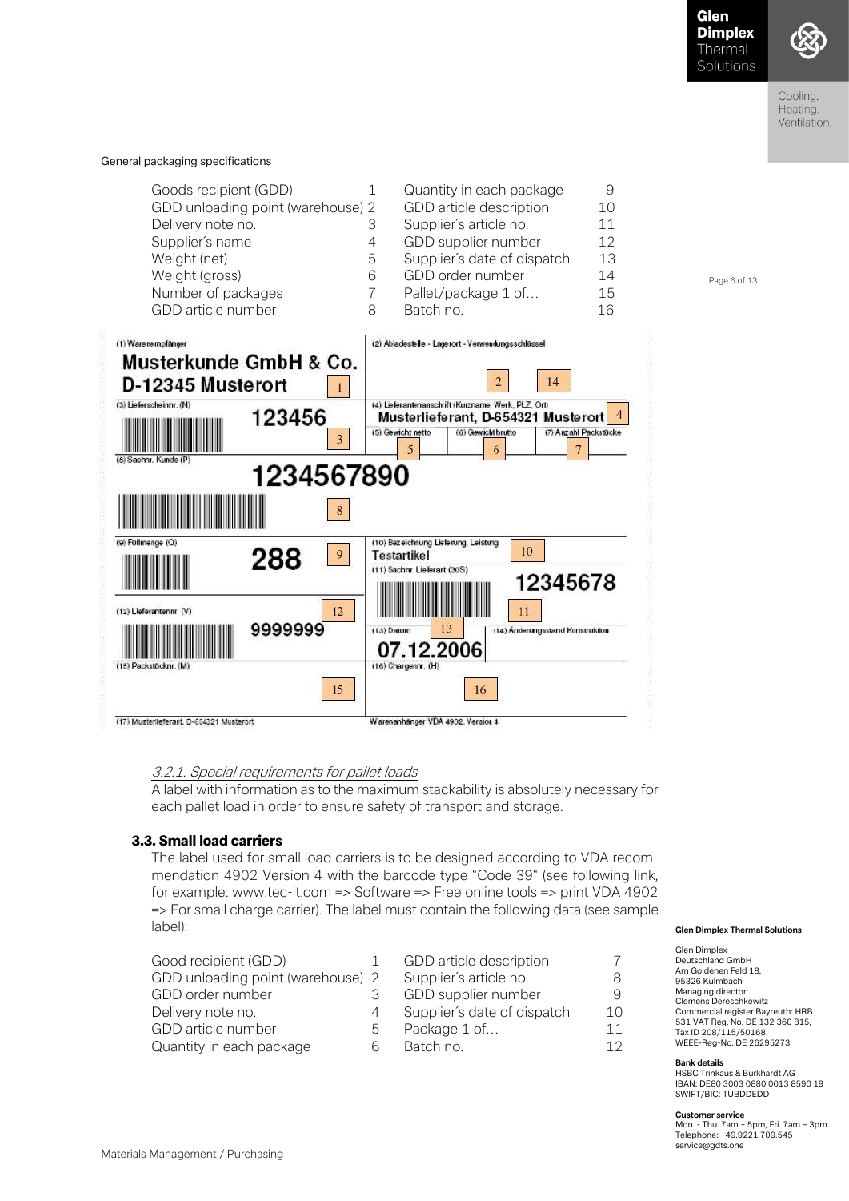Page 6 of 13



Cooling. Heating. Ventilation.

General packaging specifications

| Goods recipient (GDD)<br>GDD unloading point (warehouse) 2<br>Delivery note no.<br>Supplier's name<br>Weight (net)<br>Weight (gross)<br>Number of packages<br>GDD article number | З<br>4<br>5<br>6 | Quantity in each package<br>GDD article description<br>Supplier's article no.<br>GDD supplier number<br>Supplier's date of dispatch<br>GDD order number<br>Pallet/package 1 of<br>Batch no | 10<br>11<br>12<br>13<br>14<br>15<br>16 |
|----------------------------------------------------------------------------------------------------------------------------------------------------------------------------------|------------------|--------------------------------------------------------------------------------------------------------------------------------------------------------------------------------------------|----------------------------------------|
|----------------------------------------------------------------------------------------------------------------------------------------------------------------------------------|------------------|--------------------------------------------------------------------------------------------------------------------------------------------------------------------------------------------|----------------------------------------|



# 3.2.1. Special requirements for pallet loads

A label with information as to the maximum stackability is absolutely necessary for each pallet load in order to ensure safety of transport and storage.

#### 3.3. Small load carriers

The label used for small load carriers is to be designed according to VDA recommendation 4902 Version 4 with the barcode type "Code 39" (see following link, for example: www.tec-it.com => Software => Free online tools => print VDA 4902 => For small charge carrier). The label must contain the following data (see sample label):

| Good recipient (GDD)              |   | GDD article description     |     |
|-----------------------------------|---|-----------------------------|-----|
| GDD unloading point (warehouse) 2 |   | Supplier's article no.      |     |
| GDD order number                  |   | GDD supplier number         | 9   |
| Delivery note no.                 | 4 | Supplier's date of dispatch | 10  |
| GDD article number                | b | Package 1 of                | 11  |
| Quantity in each package          | ൳ | Batch no.                   | 1 つ |

#### **Glen Dimplex Thermal Solutions**

Glen Dimplex Deutschland GmbH Am Goldenen Feld 18, 95326 Kulmbach Managing director: Clemens Dereschkewitz Commercial register Bayreuth: HRB 531 VAT Reg. No. DE 132 360 815, Tax ID 208/115/50168 WEEE-Reg-No. DE 26295273

#### **Bank details**

HSBC Trinkaus & Burkhardt AG IBAN: DE80 3003 0880 0013 8590 19 SWIFT/BIC: TUBDDEDD

#### **Customer service**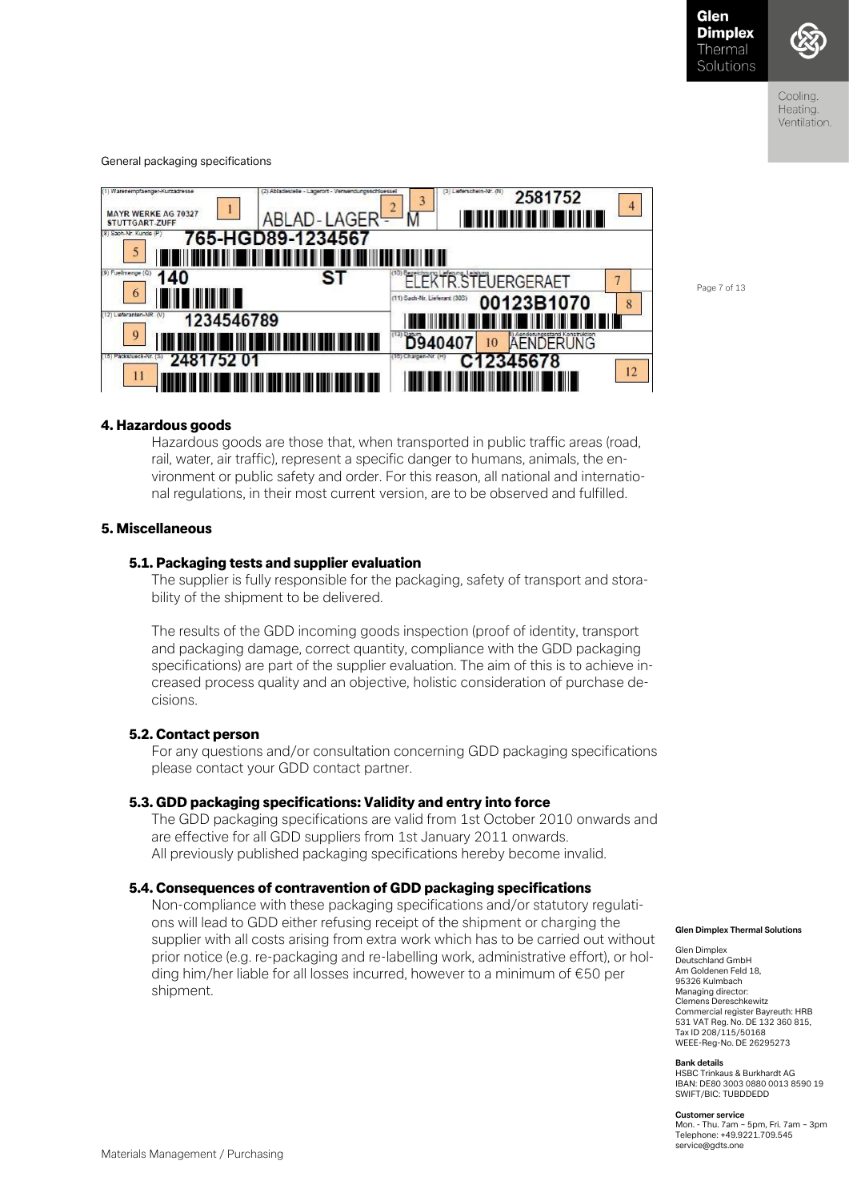

Coolina Heating. Ventilation.

General packaging specifications



Page 7 of 13

### 4. Hazardous goods

Hazardous goods are those that, when transported in public traffic areas (road, rail, water, air traffic), represent a specific danger to humans, animals, the environment or public safety and order. For this reason, all national and international regulations, in their most current version, are to be observed and fulfilled.

#### 5. Miscellaneous

### 5.1. Packaging tests and supplier evaluation

The supplier is fully responsible for the packaging, safety of transport and storability of the shipment to be delivered.

The results of the GDD incoming goods inspection (proof of identity, transport and packaging damage, correct quantity, compliance with the GDD packaging specifications) are part of the supplier evaluation. The aim of this is to achieve increased process quality and an objective, holistic consideration of purchase decisions.

# 5.2. Contact person

For any questions and/or consultation concerning GDD packaging specifications please contact your GDD contact partner.

### 5.3. GDD packaging specifications: Validity and entry into force

The GDD packaging specifications are valid from 1st October 2010 onwards and are effective for all GDD suppliers from 1st January 2011 onwards. All previously published packaging specifications hereby become invalid.

# 5.4. Consequences of contravention of GDD packaging specifications

Non-compliance with these packaging specifications and/or statutory regulations will lead to GDD either refusing receipt of the shipment or charging the supplier with all costs arising from extra work which has to be carried out without prior notice (e.g. re-packaging and re-labelling work, administrative effort), or holding him/her liable for all losses incurred, however to a minimum of €50 per shipment.

#### **Glen Dimplex Thermal Solutions**

Glen Dimplex Deutschland GmbH Am Goldenen Feld 18, 95326 Kulmbach Managing director: Clemens Dereschkewitz Commercial register Bayreuth: HRB 531 VAT Reg. No. DE 132 360 815, Tax ID 208/115/50168 WEEE-Reg-No. DE 26295273

#### **Bank details**

HSBC Trinkaus & Burkhardt AG IBAN: DE80 3003 0880 0013 8590 19 SWIFT/BIC: TUBDDEDD

#### **Customer service**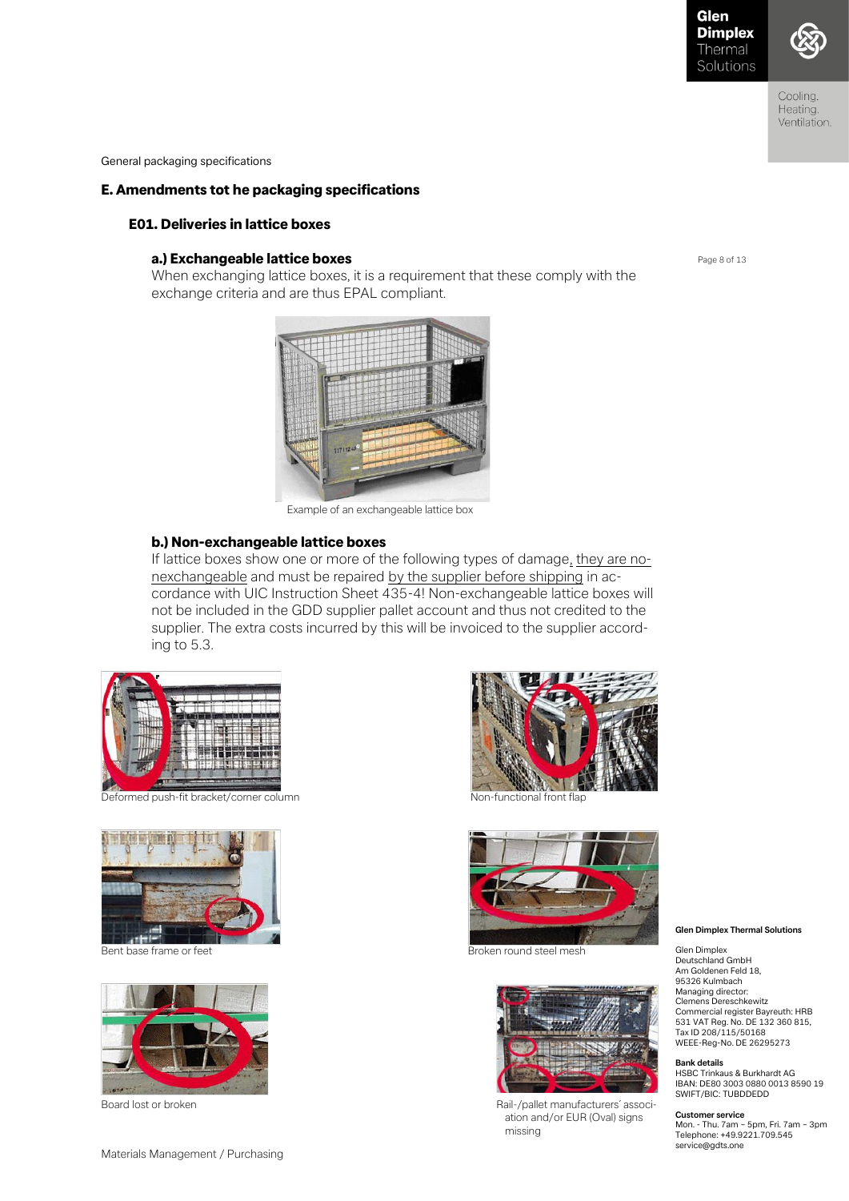



Cooling. Heating. Ventilation.

General packaging specifications

# E. Amendments tot he packaging specifications

# E01. Deliveries in lattice boxes

# a.) Exchangeable lattice boxes

When exchanging lattice boxes, it is a requirement that these comply with the exchange criteria and are thus EPAL compliant.



Example of an exchangeable lattice box

#### b.) Non-exchangeable lattice boxes

If lattice boxes show one or more of the following types of damage, they are nonexchangeable and must be repaired by the supplier before shipping in accordance with UIC Instruction Sheet 435-4! Non-exchangeable lattice boxes will not be included in the GDD supplier pallet account and thus not credited to the supplier. The extra costs incurred by this will be invoiced to the supplier according to 5.3.



Deformed push-fit bracket/corner column Non-functional front flap









Bent base frame or feet **Broken round steel mesh** Broken round steel mesh



Board lost or broken **Rail-/pallet manufacturers**<sup>'</sup> association and/or EUR (Oval) signs missing

#### Page 8 of 13

**Glen Dimplex Thermal Solutions** 

Glen Dimplex Deutschland GmbH Am Goldenen Feld 18, 95326 Kulmbach Managing director: Clemens Dereschkewitz Commercial register Bayreuth: HRB 531 VAT Reg. No. DE 132 360 815, Tax ID 208/115/50168 WEEE-Reg-No. DE 26295273

#### **Bank details**

HSBC Trinkaus & Burkhardt AG IBAN: DE80 3003 0880 0013 8590 19 SWIFT/BIC: TUBDDEDD

#### **Customer service**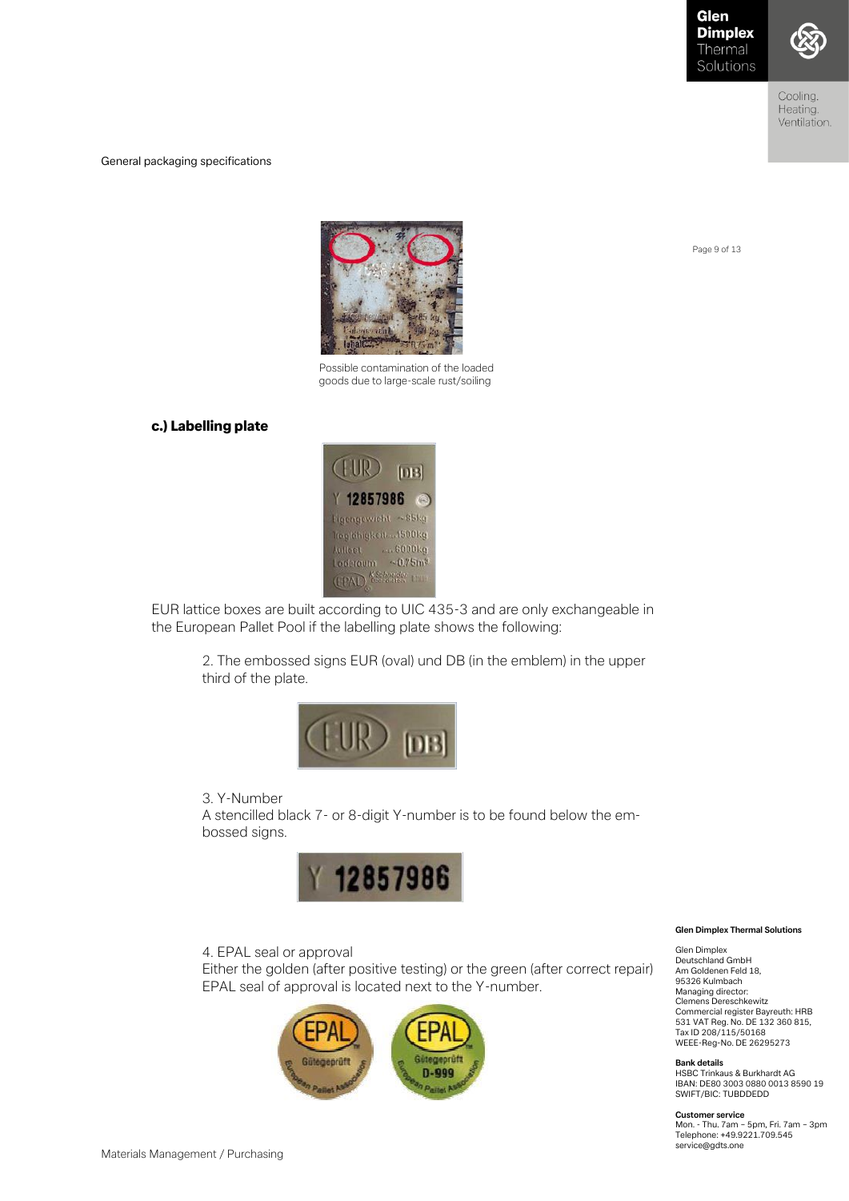

Cooling. Heating. Ventilation.

General packaging specifications



 Possible contamination of the loaded goods due to large-scale rust/soiling

# c.) Labelling plate



EUR lattice boxes are built according to UIC 435-3 and are only exchangeable in the European Pallet Pool if the labelling plate shows the following:

> 2. The embossed signs EUR (oval) und DB (in the emblem) in the upper third of the plate.



# 3. Y-Number

A stencilled black 7- or 8-digit Y-number is to be found below the embossed signs.



4. EPAL seal or approval

Either the golden (after positive testing) or the green (after correct repair) EPAL seal of approval is located next to the Y-number.



#### **Glen Dimplex Thermal Solutions**

Glen Dimplex Deutschland GmbH Am Goldenen Feld 18, 95326 Kulmbach Managing director: Clemens Dereschkewitz Commercial register Bayreuth: HRB 531 VAT Reg. No. DE 132 360 815, Tax ID 208/115/50168 WEEE-Reg-No. DE 26295273

**Bank details** HSBC Trinkaus & Burkhardt AG IBAN: DE80 3003 0880 0013 8590 19 SWIFT/BIC: TUBDDEDD

#### **Customer service**

Mon. - Thu. 7am – 5pm, Fri. 7am – 3pm Telephone: +49.9221.709.545 service@gdts.one

Page 9 of 13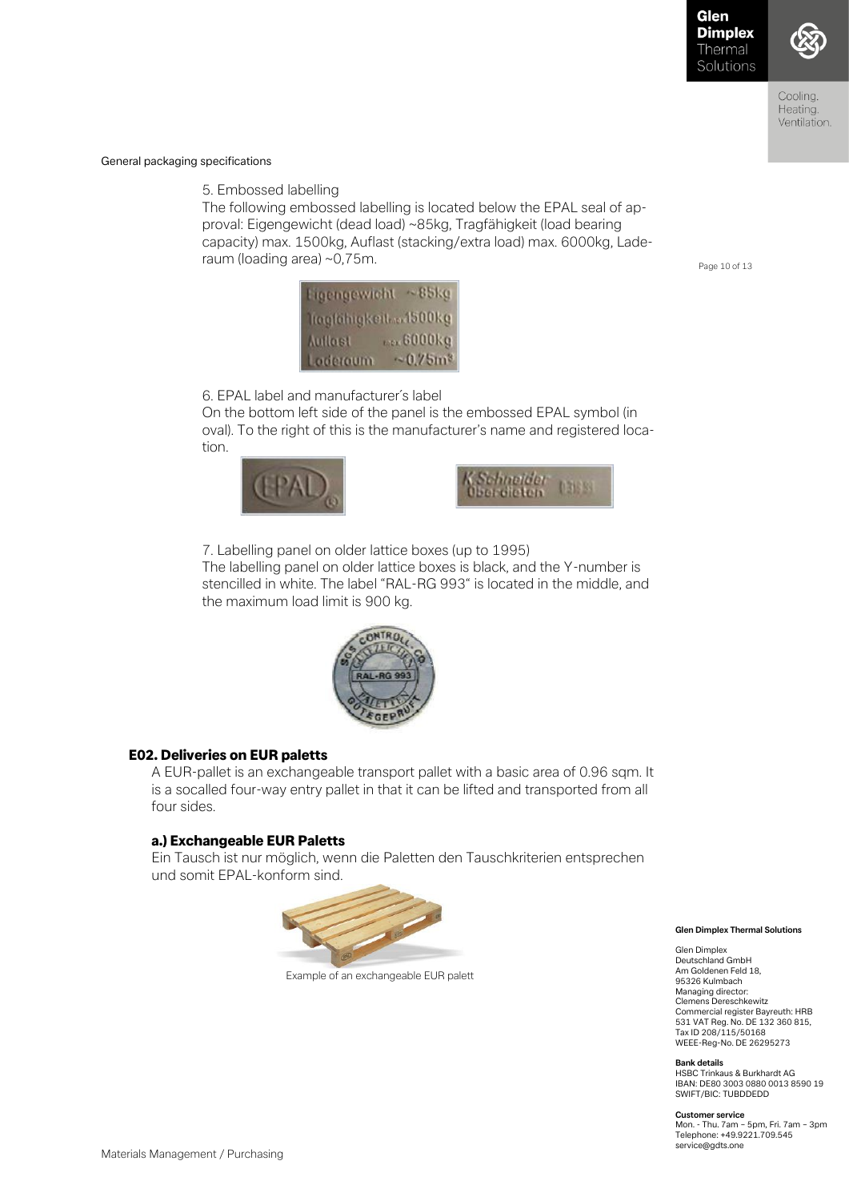

Coolina Heating. Ventilation.

General packaging specifications

5. Embossed labelling

The following embossed labelling is located below the EPAL seal of approval: Eigengewicht (dead load) ~85kg, Tragfähigkeit (load bearing capacity) max. 1500kg, Auflast (stacking/extra load) max. 6000kg, Laderaum (loading area) ~0,75m.

Page 10 of 13



6. EPAL label and manufacturer´s label

On the bottom left side of the panel is the embossed EPAL symbol (in oval). To the right of this is the manufacturer's name and registered location.





7. Labelling panel on older lattice boxes (up to 1995) The labelling panel on older lattice boxes is black, and the Y-number is stencilled in white. The label "RAL-RG 993" is located in the middle, and the maximum load limit is 900 kg.



# E02. Deliveries on EUR paletts

A EUR-pallet is an exchangeable transport pallet with a basic area of 0.96 sqm. It is a socalled four-way entry pallet in that it can be lifted and transported from all four sides.

# a.) Exchangeable EUR Paletts

Ein Tausch ist nur möglich, wenn die Paletten den Tauschkriterien entsprechen und somit EPAL-konform sind.



Example of an exchangeable EUR palett

**Glen Dimplex Thermal Solutions** 

Glen Dimplex Deutschland GmbH Am Goldenen Feld 18, 95326 Kulmbach Managing director: Clemens Dereschkewitz Commercial register Bayreuth: HRB 531 VAT Reg. No. DE 132 360 815, Tax ID 208/115/50168 WEEE-Reg-No. DE 26295273

**Bank details**

HSBC Trinkaus & Burkhardt AG IBAN: DE80 3003 0880 0013 8590 19 SWIFT/BIC: TUBDDEDD

**Customer service**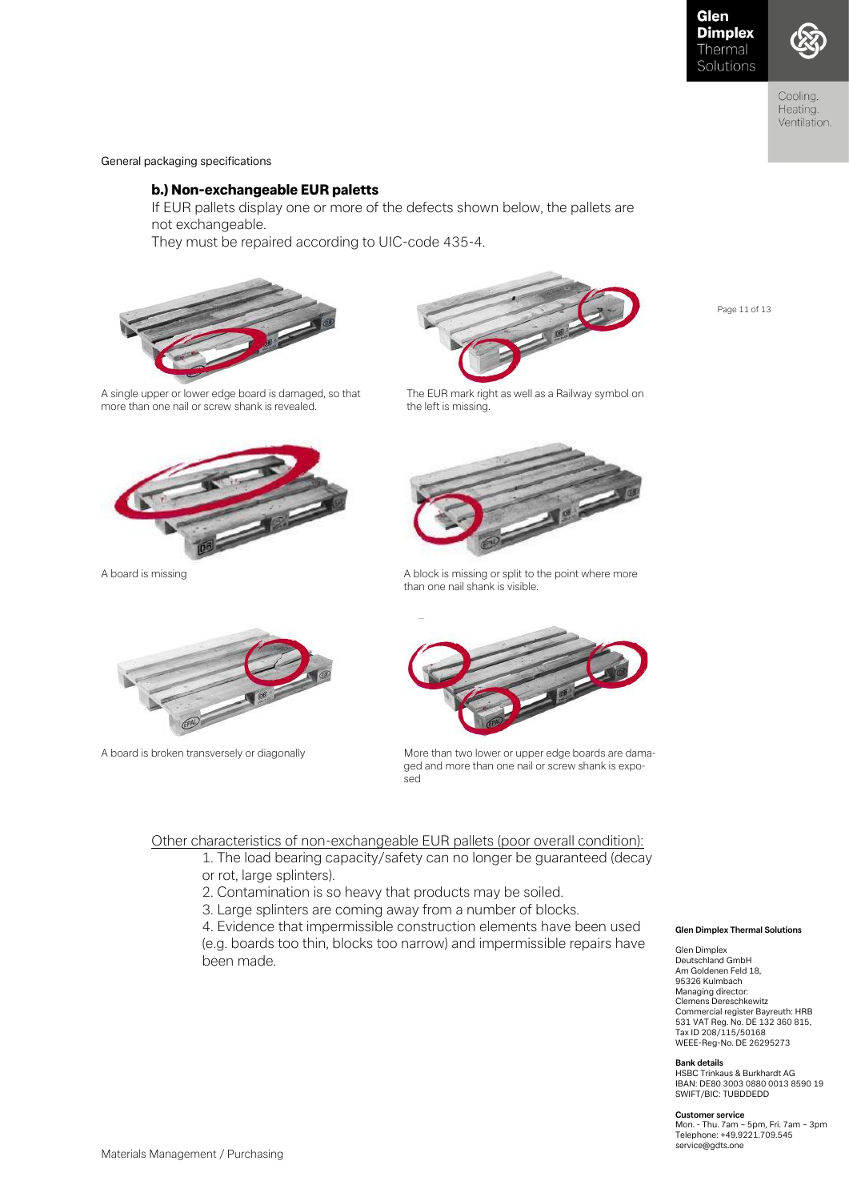Page 11 of 13



Cooling. Heating. Ventilation.

General packaging specifications

# b.) Non-exchangeable EUR paletts

If EUR pallets display one or more of the defects shown below, the pallets are not exchangeable.

They must be repaired according to UIC-code 435-4.





A single upper or lower edge board is damaged, so that The EUR mark right as well as a Railway symbol on more than one nail or screw shank is revealed. The left is missing.







A board is missing a board is missing or split to the point where more than one nail shank is visible.



A board is broken transversely or diagonally More than two lower or upper edge boards are damaged and more than one nail or screw shank is exposed

#### Other characteristics of non-exchangeable EUR pallets (poor overall condition):

- 1. The load bearing capacity/safety can no longer be guaranteed (decay or rot, large splinters).
- 2. Contamination is so heavy that products may be soiled.
- 3. Large splinters are coming away from a number of blocks.

4. Evidence that impermissible construction elements have been used (e.g. boards too thin, blocks too narrow) and impermissible repairs have been made.

#### **Glen Dimplex Thermal Solutions**

Glen Dimplex Deutschland GmbH Am Goldenen Feld 18, 95326 Kulmbach Managing director: Clemens Dereschkewitz Commercial register Bayreuth: HRB 531 VAT Reg. No. DE 132 360 815, Tax ID 208/115/50168 WEEE-Reg-No. DE 26295273

**Bank details** HSBC Trinkaus & Burkhardt AG IBAN: DE80 3003 0880 0013 8590 19 SWIFT/BIC: TUBDDEDD

#### **Customer service**

Mon. - Thu. 7am – 5pm, Fri. 7am – 3pm Telephone: +49.9221.709.545 service@gdts.one

Materials Management / Purchasing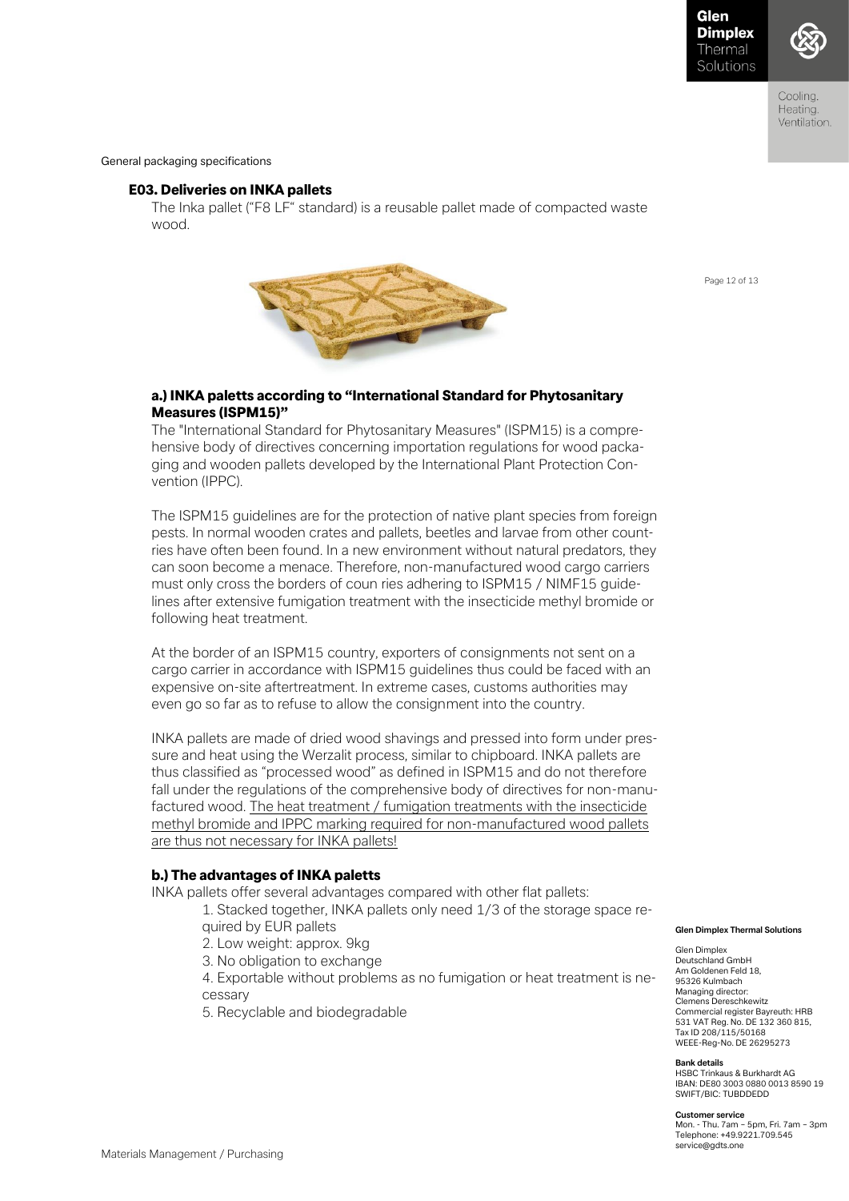Page 12 of 13



Coolina Heating. Ventilation.

General packaging specifications

# E03. Deliveries on INKA pallets

The Inka pallet ("F8 LF" standard) is a reusable pallet made of compacted waste wood.



# a.) INKA paletts according to "International Standard for Phytosanitary Measures (ISPM15)"

The "International Standard for Phytosanitary Measures" (ISPM15) is a comprehensive body of directives concerning importation regulations for wood packaging and wooden pallets developed by the International Plant Protection Convention (IPPC).

The ISPM15 guidelines are for the protection of native plant species from foreign pests. In normal wooden crates and pallets, beetles and larvae from other countries have often been found. In a new environment without natural predators, they can soon become a menace. Therefore, non-manufactured wood cargo carriers must only cross the borders of coun ries adhering to ISPM15 / NIMF15 guidelines after extensive fumigation treatment with the insecticide methyl bromide or following heat treatment.

At the border of an ISPM15 country, exporters of consignments not sent on a cargo carrier in accordance with ISPM15 guidelines thus could be faced with an expensive on-site aftertreatment. In extreme cases, customs authorities may even go so far as to refuse to allow the consignment into the country.

INKA pallets are made of dried wood shavings and pressed into form under pressure and heat using the Werzalit process, similar to chipboard. INKA pallets are thus classified as "processed wood" as defined in ISPM15 and do not therefore fall under the regulations of the comprehensive body of directives for non-manufactured wood. The heat treatment / fumigation treatments with the insecticide methyl bromide and IPPC marking required for non-manufactured wood pallets are thus not necessary for INKA pallets!

# b.) The advantages of INKA paletts

INKA pallets offer several advantages compared with other flat pallets:

1. Stacked together, INKA pallets only need 1/3 of the storage space required by EUR pallets

- 2. Low weight: approx. 9kg
- 3. No obligation to exchange

4. Exportable without problems as no fumigation or heat treatment is necessary

5. Recyclable and biodegradable

#### **Glen Dimplex Thermal Solutions**

Glen Dimplex Deutschland GmbH Am Goldenen Feld 18, 95326 Kulmbach Managing director: Clemens Dereschkewitz Commercial register Bayreuth: HRB 531 VAT Reg. No. DE 132 360 815, Tax ID 208/115/50168 WEEE-Reg-No. DE 26295273

#### **Bank details**

HSBC Trinkaus & Burkhardt AG IBAN: DE80 3003 0880 0013 8590 19 SWIFT/BIC: TUBDDEDD

#### **Customer service**